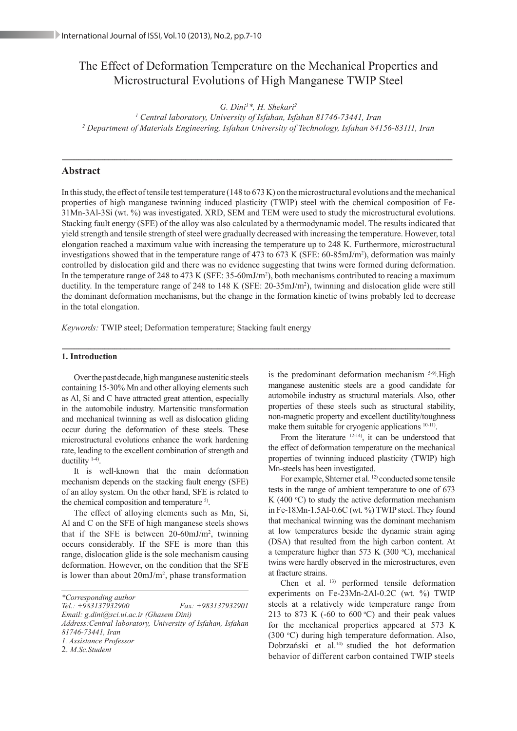# The Effect of Deformation Temperature on the Mechanical Properties and Microstructural Evolutions of High Manganese TWIP Steel

*G. Dini1 \*, H. Shekari2*

*1 Central laboratory, University of Isfahan, Isfahan 81746-73441, Iran 2 Department of Materials Engineering, Isfahan University of Technology, Isfahan 84156-83111, Iran*

-------------------------------------------------------------------------------------------------------------------------------------------------------------------------------------------------

## **Abstract**

In this study, the effect of tensile test temperature (148 to 673 K) on the microstructural evolutions and the mechanical properties of high manganese twinning induced plasticity (TWIP) steel with the chemical composition of Fe-31Mn-3Al-3Si (wt. %) was investigated. XRD, SEM and TEM were used to study the microstructural evolutions. Stacking fault energy (SFE) of the alloy was also calculated by a thermodynamic model. The results indicated that yield strength and tensile strength of steel were gradually decreased with increasing the temperature. However, total elongation reached a maximum value with increasing the temperature up to 248 K. Furthermore, microstructural investigations showed that in the temperature range of 473 to 673 K (SFE: 60-85mJ/m2 ), deformation was mainly controlled by dislocation gild and there was no evidence suggesting that twins were formed during deformation. In the temperature range of 248 to 473 K (SFE:  $35-60 \text{mJ/m}^2$ ), both mechanisms contributed to reacing a maximum ductility. In the temperature range of 248 to 148 K (SFE: 20-35mJ/m<sup>2</sup>), twinning and dislocation glide were still the dominant deformation mechanisms, but the change in the formation kinetic of twins probably led to decrease in the total elongation.

*Keywords:* TWIP steel; Deformation temperature; Stacking fault energy

#### **1. Introduction** ------------------------------------------------------------------------------------------------------------------------------------------------------------------------------------------------

Over the past decade, high manganese austenitic steels containing 15-30% Mn and other alloying elements such as Al, Si and C have attracted great attention, especially in the automobile industry. Martensitic transformation and mechanical twinning as well as dislocation gliding occur during the deformation of these steels. These microstructural evolutions enhance the work hardening rate, leading to the excellent combination of strength and ductility 1-4).

It is well-known that the main deformation mechanism depends on the stacking fault energy (SFE) of an alloy system. On the other hand, SFE is related to the chemical composition and temperature <sup>5)</sup>.

The effect of alloying elements such as Mn, Si, Al and C on the SFE of high manganese steels shows that if the SFE is between 20-60mJ/m2 , twinning occurs considerably. If the SFE is more than this range, dislocation glide is the sole mechanism causing deformation. However, on the condition that the SFE is lower than about  $20 \text{mJ/m}^2$ , phase transformation

*\*Corresponding author Tel.: +983137932900 Fax: +983137932901 Email: g.dini@sci.ui.ac.ir (Ghasem Dini) Address:Central laboratory, University of Isfahan, Isfahan 81746-73441, Iran 1. Assistance Professor* 2. *M.Sc.Student*

is the predominant deformation mechanism <sup>5-9)</sup>. High manganese austenitic steels are a good candidate for automobile industry as structural materials. Also, other properties of these steels such as structural stability, non-magnetic property and excellent ductility/toughness make them suitable for cryogenic applications <sup>10-11</sup>.

From the literature  $12-14$ , it can be understood that the effect of deformation temperature on the mechanical properties of twinning induced plasticity (TWIP) high Mn-steels has been investigated.

For example, Shterner et al. <sup>12)</sup> conducted some tensile tests in the range of ambient temperature to one of 673 K (400 $\degree$ C) to study the active deformation mechanism in Fe-18Mn-1.5Al-0.6C (wt. %) TWIP steel. They found that mechanical twinning was the dominant mechanism at low temperatures beside the dynamic strain aging (DSA) that resulted from the high carbon content. At a temperature higher than 573 K (300  $\degree$ C), mechanical twins were hardly observed in the microstructures, even at fracture strains.

Chen et al. 13) performed tensile deformation experiments on Fe-23Mn-2Al-0.2C (wt. %) TWIP steels at a relatively wide temperature range from 213 to 873 K  $(-60 \text{ to } 600 \text{ °C})$  and their peak values for the mechanical properties appeared at 573 K (300 °C) during high temperature deformation. Also, Dobrzański et al.14) studied the hot deformation behavior of different carbon contained TWIP steels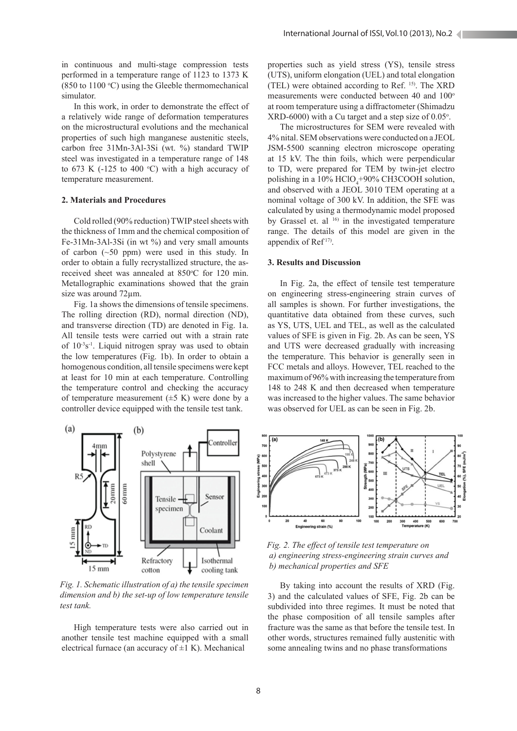in continuous and multi-stage compression tests performed in a temperature range of 1123 to 1373 K  $(850 \text{ to } 1100 \text{ °C})$  using the Gleeble thermomechanical simulator.

In this work, in order to demonstrate the effect of a relatively wide range of deformation temperatures on the microstructural evolutions and the mechanical properties of such high manganese austenitic steels, carbon free 31Mn-3Al-3Si (wt. %) standard TWIP steel was investigated in a temperature range of 148 to 673 K ( $-125$  to 400 °C) with a high accuracy of temperature measurement.

### **2. Materials and Procedures**

Cold rolled (90% reduction) TWIP steel sheets with the thickness of 1mm and the chemical composition of Fe-31Mn-3Al-3Si (in wt %) and very small amounts of carbon  $(\sim 50 \text{ ppm})$  were used in this study. In order to obtain a fully recrystallized structure, the asreceived sheet was annealed at 850°C for 120 min. Metallographic examinations showed that the grain size was around 72µm.

Fig. 1a shows the dimensions of tensile specimens. The rolling direction (RD), normal direction (ND), and transverse direction (TD) are denoted in Fig. 1a. All tensile tests were carried out with a strain rate of  $10^{-3}$ s<sup>-1</sup>. Liquid nitrogen spray was used to obtain the low temperatures (Fig. 1b). In order to obtain a homogenous condition, all tensile specimens were kept at least for 10 min at each temperature. Controlling the temperature control and checking the accuracy of temperature measurement  $(\pm 5 \text{ K})$  were done by a controller device equipped with the tensile test tank.



*Fig. 1. Schematic illustration of a) the tensile specimen dimension and b) the set-up of low temperature tensile test tank.*

High temperature tests were also carried out in another tensile test machine equipped with a small electrical furnace (an accuracy of  $\pm 1$  K). Mechanical

properties such as yield stress (YS), tensile stress (UTS), uniform elongation (UEL) and total elongation (TEL) were obtained according to Ref. 15). The XRD measurements were conducted between 40 and 100° at room temperature using a diffractometer (Shimadzu  $XRD-6000$ ) with a Cu target and a step size of  $0.05^{\circ}$ .

The microstructures for SEM were revealed with 4% nital. SEM observations were conducted on a JEOL JSM-5500 scanning electron microscope operating at 15 kV. The thin foils, which were perpendicular to TD, were prepared for TEM by twin-jet electro polishing in a  $10\%$  HClO<sub>4</sub>+90% CH3COOH solution, and observed with a JEOL 3010 TEM operating at a nominal voltage of 300 kV. In addition, the SFE was calculated by using a thermodynamic model proposed by Grassel et. al <sup>16)</sup> in the investigated temperature range. The details of this model are given in the appendix of Ref<sup>17)</sup>.

#### **3. Results and Discussion**

In Fig. 2a, the effect of tensile test temperature on engineering stress-engineering strain curves of all samples is shown. For further investigations, the quantitative data obtained from these curves, such as YS, UTS, UEL and TEL, as well as the calculated values of SFE is given in Fig. 2b. As can be seen, YS and UTS were decreased gradually with increasing the temperature. This behavior is generally seen in FCC metals and alloys. However, TEL reached to the maximum of 96% with increasing the temperature from 148 to 248 K and then decreased when temperature was increased to the higher values. The same behavior was observed for UEL as can be seen in Fig. 2b.



*Fig. 2. The effect of tensile test temperature on a) engineering stress-engineering strain curves and b) mechanical properties and SFE*

By taking into account the results of XRD (Fig. 3) and the calculated values of SFE, Fig. 2b can be subdivided into three regimes. It must be noted that the phase composition of all tensile samples after fracture was the same as that before the tensile test. In other words, structures remained fully austenitic with some annealing twins and no phase transformations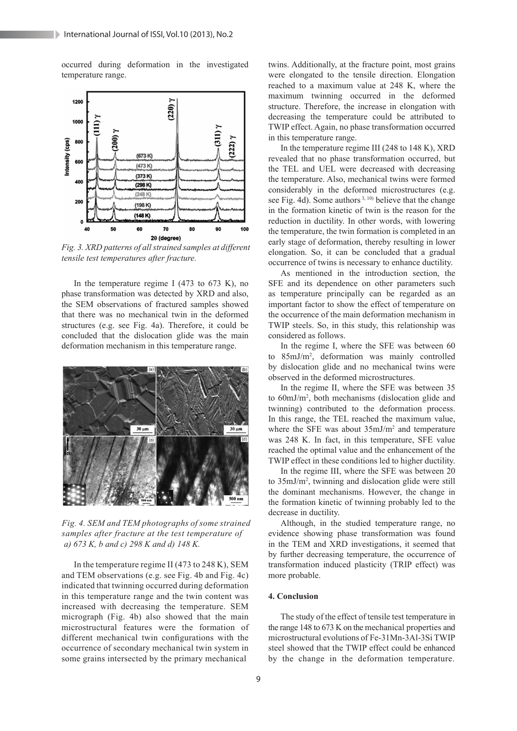occurred during deformation in the investigated temperature range.



*Fig. 3. XRD patterns of all strained samples at different tensile test temperatures after fracture.*

In the temperature regime I (473 to 673 K), no phase transformation was detected by XRD and also, the SEM observations of fractured samples showed that there was no mechanical twin in the deformed structures (e.g. see Fig. 4a). Therefore, it could be concluded that the dislocation glide was the main deformation mechanism in this temperature range.



*Fig. 4. SEM and TEM photographs of some strained samples after fracture at the test temperature of a) 673 K, b and c) 298 K and d) 148 K.*

In the temperature regime II (473 to 248 K), SEM and TEM observations (e.g. see Fig. 4b and Fig. 4c) indicated that twinning occurred during deformation in this temperature range and the twin content was increased with decreasing the temperature. SEM micrograph (Fig. 4b) also showed that the main microstructural features were the formation of different mechanical twin configurations with the occurrence of secondary mechanical twin system in some grains intersected by the primary mechanical

twins. Additionally, at the fracture point, most grains were elongated to the tensile direction. Elongation reached to a maximum value at 248 K, where the maximum twinning occurred in the deformed structure. Therefore, the increase in elongation with decreasing the temperature could be attributed to TWIP effect. Again, no phase transformation occurred in this temperature range.

In the temperature regime III (248 to 148 K), XRD revealed that no phase transformation occurred, but the TEL and UEL were decreased with decreasing the temperature. Also, mechanical twins were formed considerably in the deformed microstructures (e.g. see Fig. 4d). Some authors<sup>3, 10</sup> believe that the change in the formation kinetic of twin is the reason for the reduction in ductility. In other words, with lowering the temperature, the twin formation is completed in an early stage of deformation, thereby resulting in lower elongation. So, it can be concluded that a gradual occurrence of twins is necessary to enhance ductility.

As mentioned in the introduction section, the SFE and its dependence on other parameters such as temperature principally can be regarded as an important factor to show the effect of temperature on the occurrence of the main deformation mechanism in TWIP steels. So, in this study, this relationship was considered as follows.

In the regime I, where the SFE was between 60 to 85mJ/m2 , deformation was mainly controlled by dislocation glide and no mechanical twins were observed in the deformed microstructures.

In the regime II, where the SFE was between 35 to 60mJ/m2 , both mechanisms (dislocation glide and twinning) contributed to the deformation process. In this range, the TEL reached the maximum value, where the SFE was about  $35 \text{mJ/m}^2$  and temperature was 248 K. In fact, in this temperature, SFE value reached the optimal value and the enhancement of the TWIP effect in these conditions led to higher ductility.

In the regime III, where the SFE was between 20 to 35mJ/m2 , twinning and dislocation glide were still the dominant mechanisms. However, the change in the formation kinetic of twinning probably led to the decrease in ductility.

Although, in the studied temperature range, no evidence showing phase transformation was found in the TEM and XRD investigations, it seemed that by further decreasing temperature, the occurrence of transformation induced plasticity (TRIP effect) was more probable.

#### **4. Conclusion**

The study of the effect of tensile test temperature in the range 148 to 673 K on the mechanical properties and microstructural evolutions of Fe-31Mn-3Al-3Si TWIP steel showed that the TWIP effect could be enhanced by the change in the deformation temperature.